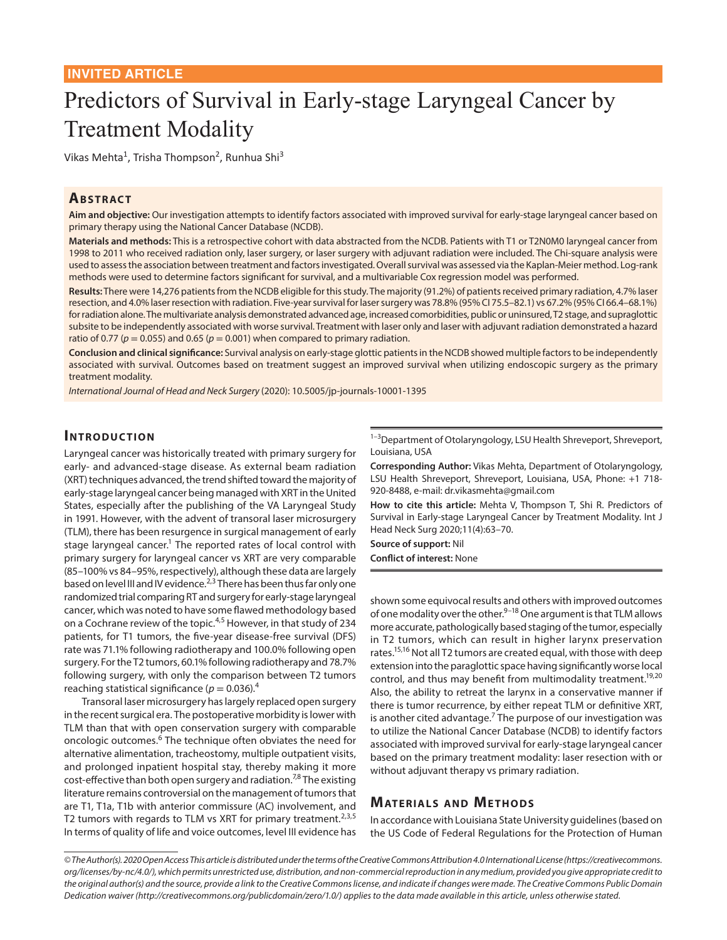# Predictors of Survival in Early-stage Laryngeal Cancer by Treatment Modality

Vikas Mehta<sup>1</sup>, Trisha Thompson<sup>2</sup>, Runhua Shi<sup>3</sup>

## **ABSTRACT**

**Aim and objective:** Our investigation attempts to identify factors associated with improved survival for early-stage laryngeal cancer based on primary therapy using the National Cancer Database (NCDB).

**Materials and methods:** This is a retrospective cohort with data abstracted from the NCDB. Patients with T1 or T2N0M0 laryngeal cancer from 1998 to 2011 who received radiation only, laser surgery, or laser surgery with adjuvant radiation were included. The Chi-square analysis were used to assess the association between treatment and factors investigated. Overall survival was assessed via the Kaplan-Meier method. Log-rank methods were used to determine factors significant for survival, and a multivariable Cox regression model was performed.

**Results:** There were 14,276 patients from the NCDB eligible for this study. The majority (91.2%) of patients received primary radiation, 4.7% laser resection, and 4.0% laser resection with radiation. Five-year survival for laser surgery was 78.8% (95% CI 75.5–82.1) vs 67.2% (95% CI 66.4–68.1%) for radiation alone. The multivariate analysis demonstrated advanced age, increased comorbidities, public or uninsured, T2 stage, and supraglottic subsite to be independently associated with worse survival. Treatment with laser only and laser with adjuvant radiation demonstrated a hazard ratio of 0.77 ( $p = 0.055$ ) and 0.65 ( $p = 0.001$ ) when compared to primary radiation.

**Conclusion and clinical significance:** Survival analysis on early-stage glottic patients in the NCDB showed multiple factors to be independently associated with survival. Outcomes based on treatment suggest an improved survival when utilizing endoscopic surgery as the primary treatment modality.

*International Journal of Head and Neck Surgery* (2020): 10.5005/jp-journals-10001-1395

#### **INTRODUCTION**

Laryngeal cancer was historically treated with primary surgery for early- and advanced-stage disease. As external beam radiation (XRT) techniques advanced, the trend shifted toward the majority of early-stage laryngeal cancer being managed with XRT in the United States, especially after the publishing of the VA Laryngeal Study in 1991. However, with the advent of transoral laser microsurgery (TLM), there has been resurgence in surgical management of early stage laryngeal cancer.<sup>1</sup> The reported rates of local control with primary surgery for laryngeal cancer vs XRT are very comparable (85–100% vs 84–95%, respectively), although these data are largely based on level III and IV evidence.<sup>2,3</sup> There has been thus far only one randomized trial comparing RT and surgery for early-stage laryngeal cancer, which was noted to have some flawed methodology based on a Cochrane review of the topic.4,5 However, in that study of 234 patients, for T1 tumors, the five-year disease-free survival (DFS) rate was 71.1% following radiotherapy and 100.0% following open surgery. For the T2 tumors, 60.1% following radiotherapy and 78.7% following surgery, with only the comparison between T2 tumors reaching statistical significance ( $p = 0.036$ ).<sup>4</sup>

Transoral laser microsurgery has largely replaced open surgery in the recent surgical era. The postoperative morbidity is lower with TLM than that with open conservation surgery with comparable oncologic outcomes.<sup>6</sup> The technique often obviates the need for alternative alimentation, tracheostomy, multiple outpatient visits, and prolonged inpatient hospital stay, thereby making it more cost-effective than both open surgery and radiation.<sup>7,8</sup> The existing literature remains controversial on the management of tumors that are T1, T1a, T1b with anterior commissure (AC) involvement, and T2 tumors with regards to TLM vs XRT for primary treatment.<sup>2,3,5</sup> In terms of quality of life and voice outcomes, level III evidence has

 $1-3$ Department of Otolaryngology, LSU Health Shreveport, Shreveport, Louisiana, USA

**Corresponding Author:** Vikas Mehta, Department of Otolaryngology, LSU Health Shreveport, Shreveport, Louisiana, USA, Phone: +1 718- 920-8488, e-mail: dr.vikasmehta@gmail.com

**How to cite this article:** Mehta V, Thompson T, Shi R. Predictors of Survival in Early-stage Laryngeal Cancer by Treatment Modality. Int J Head Neck Surg 2020;11(4):63–70.

**Source of support:** Nil **Conflict of interest:** None

shown some equivocal results and others with improved outcomes of one modality over the other.<sup>9-18</sup> One argument is that TLM allows more accurate, pathologically based staging of the tumor, especially in T2 tumors, which can result in higher larynx preservation rates.<sup>15,16</sup> Not all T2 tumors are created equal, with those with deep extension into the paraglottic space having significantly worse local control, and thus may benefit from multimodality treatment.<sup>19,20</sup> Also, the ability to retreat the larynx in a conservative manner if there is tumor recurrence, by either repeat TLM or definitive XRT, is another cited advantage.<sup>7</sup> The purpose of our investigation was to utilize the National Cancer Database (NCDB) to identify factors associated with improved survival for early-stage laryngeal cancer based on the primary treatment modality: laser resection with or without adjuvant therapy vs primary radiation.

#### **MATERIALS AND METHODS**

In accordance with Louisiana State University guidelines (based on the US Code of Federal Regulations for the Protection of Human

*<sup>©</sup> The Author(s). 2020 Open Access This article is distributed under the terms of the Creative Commons Attribution 4.0 International License (https://creativecommons. org/licenses/by-nc/4.0/), which permits unrestricted use, distribution, and non-commercial reproduction in any medium, provided you give appropriate credit to the original author(s) and the source, provide a link to the Creative Commons license, and indicate if changes were made. The Creative Commons Public Domain Dedication waiver (http://creativecommons.org/publicdomain/zero/1.0/) applies to the data made available in this article, unless otherwise stated.*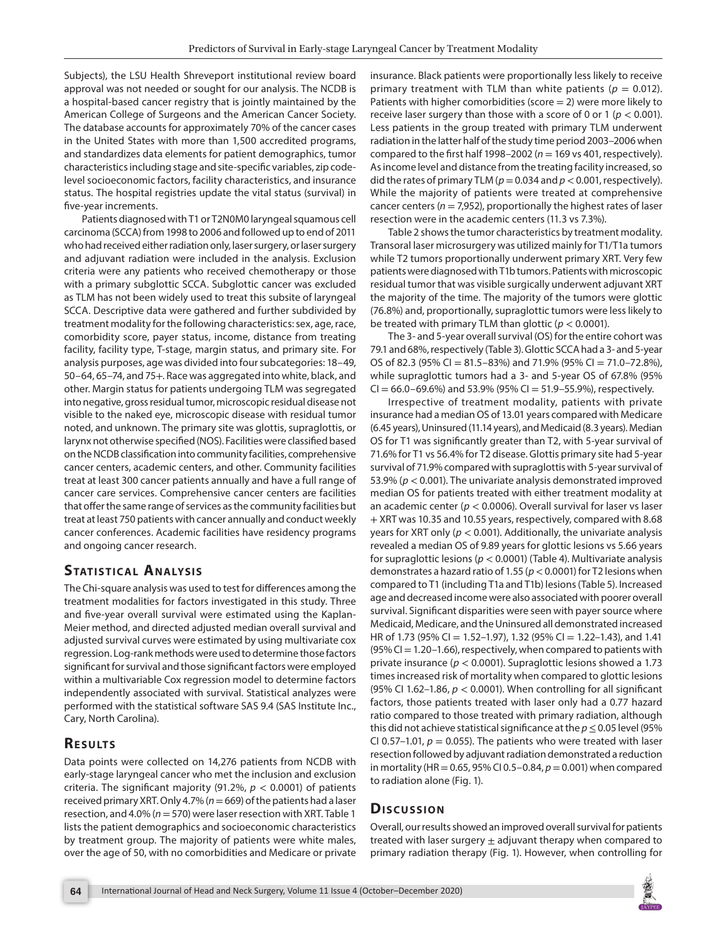Subjects), the LSU Health Shreveport institutional review board approval was not needed or sought for our analysis. The NCDB is a hospital-based cancer registry that is jointly maintained by the American College of Surgeons and the American Cancer Society. The database accounts for approximately 70% of the cancer cases in the United States with more than 1,500 accredited programs, and standardizes data elements for patient demographics, tumor characteristics including stage and site-specific variables, zip codelevel socioeconomic factors, facility characteristics, and insurance status. The hospital registries update the vital status (survival) in five-year increments.

Patients diagnosed with T1 or T2N0M0 laryngeal squamous cell carcinoma (SCCA) from 1998 to 2006 and followed up to end of 2011 who had received either radiation only, laser surgery, or laser surgery and adjuvant radiation were included in the analysis. Exclusion criteria were any patients who received chemotherapy or those with a primary subglottic SCCA. Subglottic cancer was excluded as TLM has not been widely used to treat this subsite of laryngeal SCCA. Descriptive data were gathered and further subdivided by treatment modality for the following characteristics: sex, age, race, comorbidity score, payer status, income, distance from treating facility, facility type, T-stage, margin status, and primary site. For analysis purposes, age was divided into four subcategories: 18–49, 50–64, 65–74, and 75+. Race was aggregated into white, black, and other. Margin status for patients undergoing TLM was segregated into negative, gross residual tumor, microscopic residual disease not visible to the naked eye, microscopic disease with residual tumor noted, and unknown. The primary site was glottis, supraglottis, or larynx not otherwise specified (NOS). Facilities were classified based on the NCDB classification into community facilities, comprehensive cancer centers, academic centers, and other. Community facilities treat at least 300 cancer patients annually and have a full range of cancer care services. Comprehensive cancer centers are facilities that offer the same range of services as the community facilities but treat at least 750 patients with cancer annually and conduct weekly cancer conferences. Academic facilities have residency programs and ongoing cancer research.

## **STATISTICAL ANALYSIS**

The Chi-square analysis was used to test for differences among the treatment modalities for factors investigated in this study. Three and five-year overall survival were estimated using the Kaplan-Meier method, and directed adjusted median overall survival and adjusted survival curves were estimated by using multivariate cox regression. Log-rank methods were used to determine those factors significant for survival and those significant factors were employed within a multivariable Cox regression model to determine factors independently associated with survival. Statistical analyzes were performed with the statistical software SAS 9.4 (SAS Institute Inc., Cary, North Carolina).

# **RESULTS**

Data points were collected on 14,276 patients from NCDB with early-stage laryngeal cancer who met the inclusion and exclusion criteria. The significant majority (91.2%, *p* < 0.0001) of patients received primary XRT. Only 4.7% (*n*= 669) of the patients had a laser resection, and 4.0% (*n*= 570) were laser resection with XRT. Table 1 lists the patient demographics and socioeconomic characteristics by treatment group. The majority of patients were white males, over the age of 50, with no comorbidities and Medicare or private

insurance. Black patients were proportionally less likely to receive primary treatment with TLM than white patients ( $p = 0.012$ ). Patients with higher comorbidities (score  $= 2$ ) were more likely to receive laser surgery than those with a score of 0 or 1 (*p* < 0.001). Less patients in the group treated with primary TLM underwent radiation in the latter half of the study time period 2003–2006 when compared to the first half 1998–2002 ( $n = 169$  vs 401, respectively). As income level and distance from the treating facility increased, so did the rates of primary TLM ( $p = 0.034$  and  $p < 0.001$ , respectively). While the majority of patients were treated at comprehensive cancer centers ( $n = 7,952$ ), proportionally the highest rates of laser resection were in the academic centers (11.3 vs 7.3%).

Table 2 shows the tumor characteristics by treatment modality. Transoral laser microsurgery was utilized mainly for T1/T1a tumors while T2 tumors proportionally underwent primary XRT. Very few patients were diagnosed with T1b tumors. Patients with microscopic residual tumor that was visible surgically underwent adjuvant XRT the majority of the time. The majority of the tumors were glottic (76.8%) and, proportionally, supraglottic tumors were less likely to be treated with primary TLM than glottic (*p* < 0.0001).

The 3- and 5-year overall survival (OS) for the entire cohort was 79.1 and 68%, respectively (Table 3). Glottic SCCA had a 3- and 5-year OS of 82.3 (95% CI = 81.5–83%) and 71.9% (95% CI = 71.0–72.8%), while supraglottic tumors had a 3- and 5-year OS of 67.8% (95%  $CI = 66.0 - 69.6%$ ) and 53.9% (95%  $CI = 51.9 - 55.9%$ ), respectively.

Irrespective of treatment modality, patients with private insurance had a median OS of 13.01 years compared with Medicare (6.45 years), Uninsured (11.14 years), and Medicaid (8.3 years). Median OS for T1 was significantly greater than T2, with 5-year survival of 71.6% for T1 vs 56.4% for T2 disease. Glottis primary site had 5-year survival of 71.9% compared with supraglottis with 5-year survival of 53.9% (*p* < 0.001). The univariate analysis demonstrated improved median OS for patients treated with either treatment modality at an academic center (*p* < 0.0006). Overall survival for laser vs laser + XRT was 10.35 and 10.55 years, respectively, compared with 8.68 years for XRT only (*p* < 0.001). Additionally, the univariate analysis revealed a median OS of 9.89 years for glottic lesions vs 5.66 years for supraglottic lesions (*p* < 0.0001) (Table 4). Multivariate analysis demonstrates a hazard ratio of 1.55 (*p*< 0.0001) for T2 lesions when compared to T1 (including T1a and T1b) lesions (Table 5). Increased age and decreased income were also associated with poorer overall survival. Significant disparities were seen with payer source where Medicaid, Medicare, and the Uninsured all demonstrated increased HR of 1.73 (95% CI = 1.52–1.97), 1.32 (95% CI = 1.22–1.43), and 1.41  $(95\% CI = 1.20-1.66)$ , respectively, when compared to patients with private insurance (*p* < 0.0001). Supraglottic lesions showed a 1.73 times increased risk of mortality when compared to glottic lesions (95% CI 1.62–1.86,  $p < 0.0001$ ). When controlling for all significant factors, those patients treated with laser only had a 0.77 hazard ratio compared to those treated with primary radiation, although this did not achieve statistical significance at the *p*≤ 0.05 level (95% CI 0.57–1.01,  $p = 0.055$ ). The patients who were treated with laser resection followed by adjuvant radiation demonstrated a reduction in mortality (HR = 0.65, 95% CI 0.5–0.84, *p*= 0.001) when compared to radiation alone (Fig. 1).

## **Dis c u s sio n**

Overall, our results showed an improved overall survival for patients treated with laser surgery  $\pm$  adjuvant therapy when compared to primary radiation therapy (Fig. 1). However, when controlling for

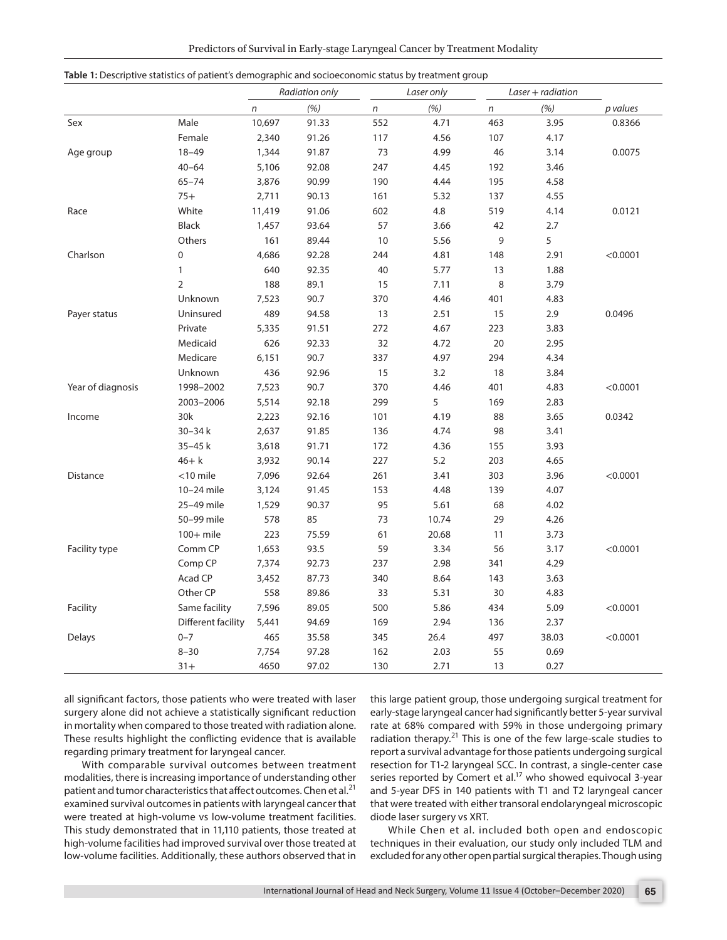|  |  | Predictors of Survival in Early-stage Laryngeal Cancer by Treatment Modality |  |
|--|--|------------------------------------------------------------------------------|--|
|  |  |                                                                              |  |

|                   |                    |        | Radiation only |              | Laser only |     | $Laser + radiation$ |          |
|-------------------|--------------------|--------|----------------|--------------|------------|-----|---------------------|----------|
|                   |                    | n      | (%)            | $\mathsf{n}$ | (% )       | n   | (%)                 | p values |
| Sex               | Male               | 10,697 | 91.33          | 552          | 4.71       | 463 | 3.95                | 0.8366   |
|                   | Female             | 2,340  | 91.26          | 117          | 4.56       | 107 | 4.17                |          |
| Age group         | $18 - 49$          | 1,344  | 91.87          | 73           | 4.99       | 46  | 3.14                | 0.0075   |
|                   | $40 - 64$          | 5,106  | 92.08          | 247          | 4.45       | 192 | 3.46                |          |
|                   | $65 - 74$          | 3,876  | 90.99          | 190          | 4.44       | 195 | 4.58                |          |
|                   | $75+$              | 2,711  | 90.13          | 161          | 5.32       | 137 | 4.55                |          |
| Race              | White              | 11,419 | 91.06          | 602          | 4.8        | 519 | 4.14                | 0.0121   |
|                   | Black              | 1,457  | 93.64          | 57           | 3.66       | 42  | 2.7                 |          |
|                   | Others             | 161    | 89.44          | 10           | 5.56       | 9   | 5                   |          |
| Charlson          | 0                  | 4,686  | 92.28          | 244          | 4.81       | 148 | 2.91                | < 0.0001 |
|                   | $\mathbf{1}$       | 640    | 92.35          | 40           | 5.77       | 13  | 1.88                |          |
|                   | $\overline{2}$     | 188    | 89.1           | 15           | 7.11       | 8   | 3.79                |          |
|                   | Unknown            | 7,523  | 90.7           | 370          | 4.46       | 401 | 4.83                |          |
| Payer status      | Uninsured          | 489    | 94.58          | 13           | 2.51       | 15  | 2.9                 | 0.0496   |
|                   | Private            | 5,335  | 91.51          | 272          | 4.67       | 223 | 3.83                |          |
|                   | Medicaid           | 626    | 92.33          | 32           | 4.72       | 20  | 2.95                |          |
|                   | Medicare           | 6,151  | 90.7           | 337          | 4.97       | 294 | 4.34                |          |
|                   | Unknown            | 436    | 92.96          | 15           | 3.2        | 18  | 3.84                |          |
| Year of diagnosis | 1998-2002          | 7,523  | 90.7           | 370          | 4.46       | 401 | 4.83                | < 0.0001 |
|                   | 2003-2006          | 5,514  | 92.18          | 299          | 5          | 169 | 2.83                |          |
| Income            | 30k                | 2,223  | 92.16          | 101          | 4.19       | 88  | 3.65                | 0.0342   |
|                   | $30 - 34k$         | 2,637  | 91.85          | 136          | 4.74       | 98  | 3.41                |          |
|                   | $35 - 45k$         | 3,618  | 91.71          | 172          | 4.36       | 155 | 3.93                |          |
|                   | $46 + k$           | 3,932  | 90.14          | 227          | 5.2        | 203 | 4.65                |          |
| <b>Distance</b>   | $<$ 10 mile        | 7,096  | 92.64          | 261          | 3.41       | 303 | 3.96                | < 0.0001 |
|                   | 10-24 mile         | 3,124  | 91.45          | 153          | 4.48       | 139 | 4.07                |          |
|                   | 25-49 mile         | 1,529  | 90.37          | 95           | 5.61       | 68  | 4.02                |          |
|                   | 50-99 mile         | 578    | 85             | 73           | 10.74      | 29  | 4.26                |          |
|                   | $100+$ mile        | 223    | 75.59          | 61           | 20.68      | 11  | 3.73                |          |
| Facility type     | Comm CP            | 1,653  | 93.5           | 59           | 3.34       | 56  | 3.17                | < 0.0001 |
|                   | Comp CP            | 7,374  | 92.73          | 237          | 2.98       | 341 | 4.29                |          |
|                   | Acad CP            | 3,452  | 87.73          | 340          | 8.64       | 143 | 3.63                |          |
|                   | Other CP           | 558    | 89.86          | 33           | 5.31       | 30  | 4.83                |          |
| Facility          | Same facility      | 7,596  | 89.05          | 500          | 5.86       | 434 | 5.09                | < 0.0001 |
|                   | Different facility | 5,441  | 94.69          | 169          | 2.94       | 136 | 2.37                |          |
| <b>Delays</b>     | $0 - 7$            | 465    | 35.58          | 345          | 26.4       | 497 | 38.03               | < 0.0001 |
|                   | $8 - 30$           | 7,754  | 97.28          | 162          | 2.03       | 55  | 0.69                |          |
|                   | $31 +$             | 4650   | 97.02          | 130          | 2.71       | 13  | 0.27                |          |

**Table 1:** Descriptive statistics of patient's demographic and socioeconomic status by treatment group

all significant factors, those patients who were treated with laser surgery alone did not achieve a statistically significant reduction in mortality when compared to those treated with radiation alone. These results highlight the conflicting evidence that is available regarding primary treatment for laryngeal cancer.

With comparable survival outcomes between treatment modalities, there is increasing importance of understanding other patient and tumor characteristics that affect outcomes. Chen et al.<sup>21</sup> examined survival outcomes in patients with laryngeal cancer that were treated at high-volume vs low-volume treatment facilities. This study demonstrated that in 11,110 patients, those treated at high-volume facilities had improved survival over those treated at low-volume facilities. Additionally, these authors observed that in

this large patient group, those undergoing surgical treatment for early-stage laryngeal cancer had significantly better 5-year survival rate at 68% compared with 59% in those undergoing primary radiation therapy.<sup>21</sup> This is one of the few large-scale studies to report a survival advantage for those patients undergoing surgical resection for T1-2 laryngeal SCC. In contrast, a single-center case series reported by Comert et al.<sup>17</sup> who showed equivocal 3-year and 5-year DFS in 140 patients with T1 and T2 laryngeal cancer that were treated with either transoral endolaryngeal microscopic diode laser surgery vs XRT.

While Chen et al. included both open and endoscopic techniques in their evaluation, our study only included TLM and excluded for any other open partial surgical therapies. Though using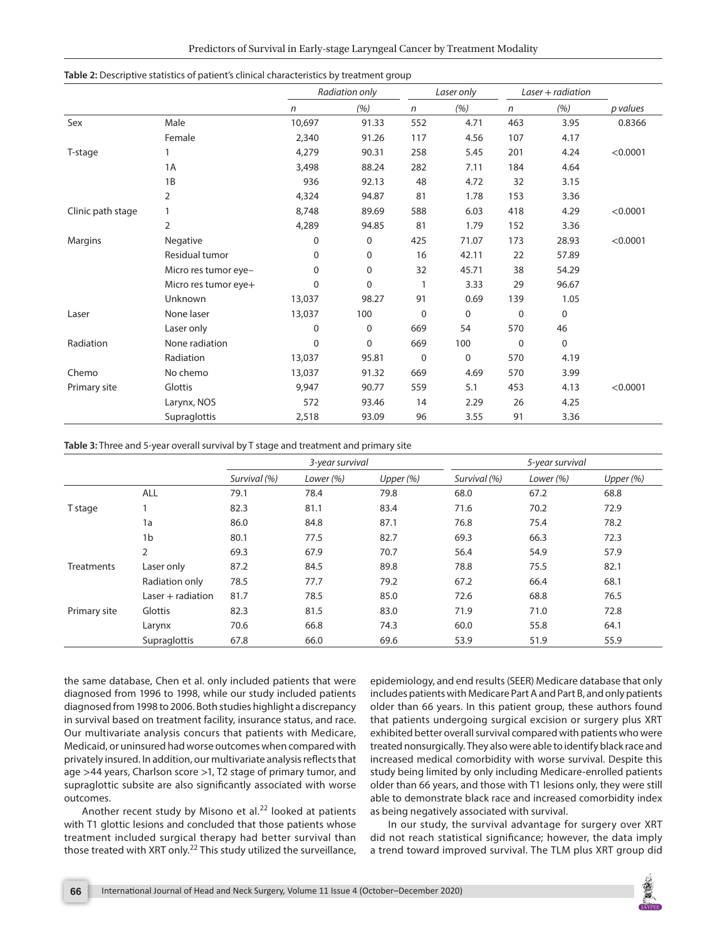|                   |                      | Radiation only |             |             | Laser only  |              | $Laser + radiation$ |          |
|-------------------|----------------------|----------------|-------------|-------------|-------------|--------------|---------------------|----------|
|                   |                      | $\mathsf{n}$   | (%)         | n           | (%)         | $\mathsf{n}$ | (% )                | p values |
| Sex               | Male                 | 10,697         | 91.33       | 552         | 4.71        | 463          | 3.95                | 0.8366   |
|                   | Female               | 2,340          | 91.26       | 117         | 4.56        | 107          | 4.17                |          |
| T-stage           |                      | 4,279          | 90.31       | 258         | 5.45        | 201          | 4.24                | < 0.0001 |
|                   | 1A                   | 3,498          | 88.24       | 282         | 7.11        | 184          | 4.64                |          |
|                   | 1B                   | 936            | 92.13       | 48          | 4.72        | 32           | 3.15                |          |
|                   | 2                    | 4,324          | 94.87       | 81          | 1.78        | 153          | 3.36                |          |
| Clinic path stage |                      | 8,748          | 89.69       | 588         | 6.03        | 418          | 4.29                | < 0.0001 |
|                   | $\overline{2}$       | 4,289          | 94.85       | 81          | 1.79        | 152          | 3.36                |          |
| Margins           | Negative             | $\mathbf 0$    | 0           | 425         | 71.07       | 173          | 28.93               | < 0.0001 |
|                   | Residual tumor       | $\Omega$       | 0           | 16          | 42.11       | 22           | 57.89               |          |
|                   | Micro res tumor eye- | $\mathbf{0}$   | 0           | 32          | 45.71       | 38           | 54.29               |          |
|                   | Micro res tumor eye+ | $\Omega$       | 0           |             | 3.33        | 29           | 96.67               |          |
|                   | <b>Unknown</b>       | 13,037         | 98.27       | 91          | 0.69        | 139          | 1.05                |          |
| Laser             | None laser           | 13,037         | 100         | $\mathbf 0$ | $\mathbf 0$ | $\mathbf 0$  | $\mathbf 0$         |          |
|                   | Laser only           | $\mathbf 0$    | $\mathbf 0$ | 669         | 54          | 570          | 46                  |          |
| Radiation         | None radiation       | $\Omega$       | 0           | 669         | 100         | $\mathbf 0$  | $\mathbf 0$         |          |
|                   | Radiation            | 13,037         | 95.81       | $\mathbf 0$ | 0           | 570          | 4.19                |          |
| Chemo             | No chemo             | 13,037         | 91.32       | 669         | 4.69        | 570          | 3.99                |          |
| Primary site      | Glottis              | 9,947          | 90.77       | 559         | 5.1         | 453          | 4.13                | < 0.0001 |
|                   | Larynx, NOS          | 572            | 93.46       | 14          | 2.29        | 26           | 4.25                |          |
|                   | Supraglottis         | 2,518          | 93.09       | 96          | 3.55        | 91           | 3.36                |          |

**Table 2:** Descriptive statistics of patient's clinical characteristics by treatment group

**Table 3:** Three and 5-year overall survival by T stage and treatment and primary site

|              |                     | 3-year survival |           |             |              | 5-year survival |             |
|--------------|---------------------|-----------------|-----------|-------------|--------------|-----------------|-------------|
|              |                     | Survival (%)    | Lower (%) | Upper $(%)$ | Survival (%) | Lower (%)       | Upper $(%)$ |
|              | <b>ALL</b>          | 79.1            | 78.4      | 79.8        | 68.0         | 67.2            | 68.8        |
| T stage      |                     | 82.3            | 81.1      | 83.4        | 71.6         | 70.2            | 72.9        |
|              | 1a                  | 86.0            | 84.8      | 87.1        | 76.8         | 75.4            | 78.2        |
|              | 1 <sub>b</sub>      | 80.1            | 77.5      | 82.7        | 69.3         | 66.3            | 72.3        |
|              | 2                   | 69.3            | 67.9      | 70.7        | 56.4         | 54.9            | 57.9        |
| Treatments   | Laser only          | 87.2            | 84.5      | 89.8        | 78.8         | 75.5            | 82.1        |
|              | Radiation only      | 78.5            | 77.7      | 79.2        | 67.2         | 66.4            | 68.1        |
|              | Laser $+$ radiation | 81.7            | 78.5      | 85.0        | 72.6         | 68.8            | 76.5        |
| Primary site | Glottis             | 82.3            | 81.5      | 83.0        | 71.9         | 71.0            | 72.8        |
|              | Larynx              | 70.6            | 66.8      | 74.3        | 60.0         | 55.8            | 64.1        |
|              | Supraglottis        | 67.8            | 66.0      | 69.6        | 53.9         | 51.9            | 55.9        |

the same database, Chen et al. only included patients that were diagnosed from 1996 to 1998, while our study included patients diagnosed from 1998 to 2006. Both studies highlight a discrepancy in survival based on treatment facility, insurance status, and race. Our multivariate analysis concurs that patients with Medicare, Medicaid, or uninsured had worse outcomes when compared with privately insured. In addition, our multivariate analysis reflects that age >44 years, Charlson score >1, T2 stage of primary tumor, and supraglottic subsite are also significantly associated with worse outcomes.

Another recent study by Misono et al. $^{22}$  looked at patients with T1 glottic lesions and concluded that those patients whose treatment included surgical therapy had better survival than those treated with XRT only.<sup>22</sup> This study utilized the surveillance,

epidemiology, and end results (SEER) Medicare database that only includes patients with Medicare Part A and Part B, and only patients older than 66 years. In this patient group, these authors found that patients undergoing surgical excision or surgery plus XRT exhibited better overall survival compared with patients who were treated nonsurgically. They also were able to identify black race and increased medical comorbidity with worse survival. Despite this study being limited by only including Medicare-enrolled patients older than 66 years, and those with T1 lesions only, they were still able to demonstrate black race and increased comorbidity index as being negatively associated with survival.

In our study, the survival advantage for surgery over XRT did not reach statistical significance; however, the data imply a trend toward improved survival. The TLM plus XRT group did

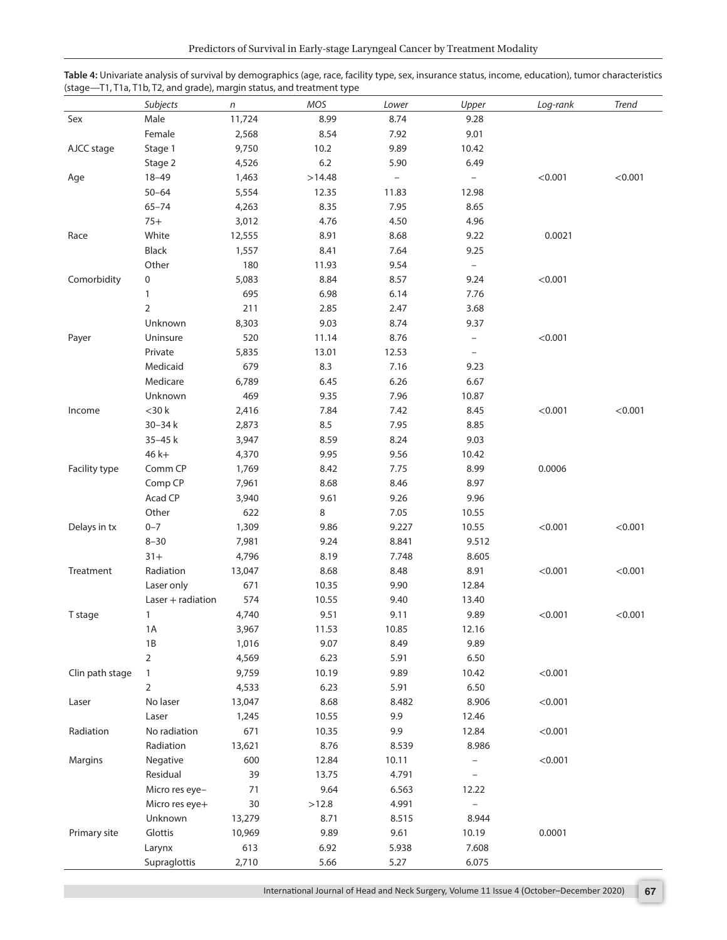|                 | Subjects            | n      | ╯<br>MOS | Lower                    | Upper                    | Log-rank | Trend   |
|-----------------|---------------------|--------|----------|--------------------------|--------------------------|----------|---------|
| Sex             | Male                | 11,724 | 8.99     | 8.74                     | 9.28                     |          |         |
|                 | Female              | 2,568  | 8.54     | 7.92                     | 9.01                     |          |         |
| AJCC stage      | Stage 1             | 9,750  | 10.2     | 9.89                     | 10.42                    |          |         |
|                 | Stage 2             | 4,526  | 6.2      | 5.90                     | 6.49                     |          |         |
| Age             | $18 - 49$           | 1,463  | >14.48   | $\overline{\phantom{0}}$ | $\overline{\phantom{a}}$ | < 0.001  | < 0.001 |
|                 | $50 - 64$           | 5,554  | 12.35    | 11.83                    | 12.98                    |          |         |
|                 | $65 - 74$           | 4,263  | 8.35     | 7.95                     | 8.65                     |          |         |
|                 | $75+$               | 3,012  | 4.76     | 4.50                     | 4.96                     |          |         |
| Race            | White               | 12,555 | 8.91     | 8.68                     | 9.22                     | 0.0021   |         |
|                 | Black               | 1,557  | 8.41     | 7.64                     | 9.25                     |          |         |
|                 | Other               | 180    | 11.93    | 9.54                     | $\overline{\phantom{a}}$ |          |         |
| Comorbidity     | 0                   | 5,083  | 8.84     | 8.57                     | 9.24                     | < 0.001  |         |
|                 | $\mathbf{1}$        | 695    | 6.98     | 6.14                     | 7.76                     |          |         |
|                 | $\overline{2}$      | 211    | 2.85     | 2.47                     | 3.68                     |          |         |
|                 | Unknown             | 8,303  | 9.03     | 8.74                     | 9.37                     |          |         |
| Payer           | Uninsure            | 520    | 11.14    | 8.76                     | $\qquad \qquad -$        | < 0.001  |         |
|                 | Private             | 5,835  | 13.01    | 12.53                    | $\equiv$                 |          |         |
|                 | Medicaid            | 679    | 8.3      | 7.16                     | 9.23                     |          |         |
|                 | Medicare            | 6,789  | 6.45     | 6.26                     | 6.67                     |          |         |
|                 | Unknown             | 469    | 9.35     | 7.96                     | 10.87                    |          |         |
| Income          | $<$ 30 k            | 2,416  | 7.84     | 7.42                     | 8.45                     | < 0.001  | < 0.001 |
|                 | 30-34 k             | 2,873  | 8.5      | 7.95                     | 8.85                     |          |         |
|                 | 35-45 k             | 3,947  | 8.59     | 8.24                     | 9.03                     |          |         |
|                 | $46k+$              | 4,370  | 9.95     | 9.56                     | 10.42                    |          |         |
| Facility type   | Comm CP             | 1,769  | 8.42     | 7.75                     | 8.99                     | 0.0006   |         |
|                 | Comp CP             | 7,961  | 8.68     | 8.46                     | 8.97                     |          |         |
|                 | Acad CP             | 3,940  | 9.61     | 9.26                     | 9.96                     |          |         |
|                 | Other               | 622    | 8        | 7.05                     | 10.55                    |          |         |
| Delays in tx    | $0 - 7$             | 1,309  | 9.86     | 9.227                    | 10.55                    | < 0.001  | < 0.001 |
|                 | $8 - 30$            | 7,981  | 9.24     | 8.841                    | 9.512                    |          |         |
|                 | $31 +$              | 4,796  | 8.19     | 7.748                    | 8.605                    |          |         |
| Treatment       | Radiation           | 13,047 | 8.68     | 8.48                     | 8.91                     | < 0.001  | < 0.001 |
|                 | Laser only          | 671    | 10.35    | 9.90                     | 12.84                    |          |         |
|                 | $Laser + radiation$ | 574    | 10.55    | 9.40                     | 13.40                    |          |         |
| T stage         | 1                   | 4,740  | 9.51     | 9.11                     | 9.89                     | < 0.001  | < 0.001 |
|                 | $1A$                | 3,967  | 11.53    | 10.85                    | 12.16                    |          |         |
|                 | 1B                  | 1,016  | 9.07     | 8.49                     | 9.89                     |          |         |
|                 | $\overline{2}$      | 4,569  | 6.23     | 5.91                     | 6.50                     |          |         |
| Clin path stage | $\mathbf{1}$        | 9,759  | 10.19    | 9.89                     | 10.42                    | < 0.001  |         |
|                 | $\overline{2}$      | 4,533  | 6.23     | 5.91                     | 6.50                     |          |         |
| Laser           | No laser            | 13,047 | 8.68     | 8.482                    | 8.906                    | < 0.001  |         |
|                 | Laser               | 1,245  | 10.55    | 9.9                      | 12.46                    |          |         |
| Radiation       | No radiation        | 671    | 10.35    | 9.9                      | 12.84                    | < 0.001  |         |
|                 | Radiation           | 13,621 | 8.76     | 8.539                    | 8.986                    |          |         |
| Margins         | Negative            | 600    | 12.84    | 10.11                    | -                        | < 0.001  |         |
|                 | Residual            | 39     | 13.75    | 4.791                    | $\overline{a}$           |          |         |
|                 | Micro res eye-      | 71     | 9.64     | 6.563                    | 12.22                    |          |         |
|                 | Micro res eye+      | 30     | >12.8    | 4.991                    | $\qquad \qquad -$        |          |         |
|                 | Unknown             | 13,279 | 8.71     | 8.515                    | 8.944                    |          |         |
| Primary site    | Glottis             | 10,969 | 9.89     | 9.61                     | 10.19                    | 0.0001   |         |
|                 | Larynx              | 613    | 6.92     | 5.938                    | 7.608                    |          |         |
|                 | Supraglottis        | 2,710  | 5.66     | 5.27                     | 6.075                    |          |         |

| Table 4: Univariate analysis of survival by demographics (age, race, facility type, sex, insurance status, income, education), tumor characteristics |  |
|------------------------------------------------------------------------------------------------------------------------------------------------------|--|
| (stage—T1, T1a, T1b, T2, and grade), margin status, and treatment type                                                                               |  |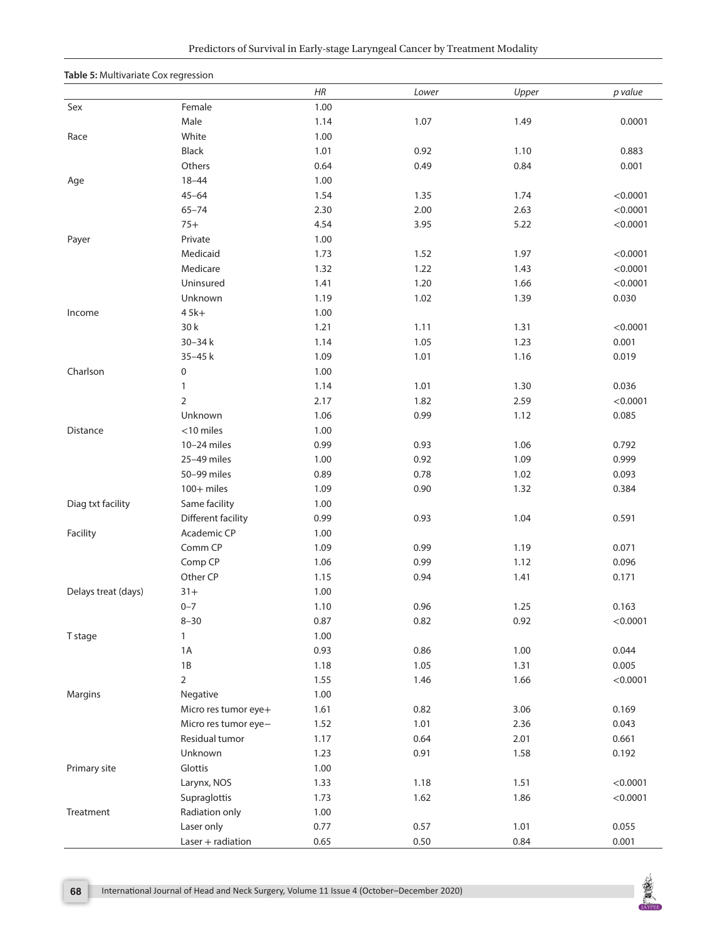#### **Table 5:** Multivariate Cox regression

|                     |                      | HR   | Lower | Upper | p value  |
|---------------------|----------------------|------|-------|-------|----------|
| Sex                 | Female               | 1.00 |       |       |          |
|                     | Male                 | 1.14 | 1.07  | 1.49  | 0.0001   |
| Race                | White                | 1.00 |       |       |          |
|                     | Black                | 1.01 | 0.92  | 1.10  | 0.883    |
|                     | Others               | 0.64 | 0.49  | 0.84  | 0.001    |
| Age                 | $18 - 44$            | 1.00 |       |       |          |
|                     | $45 - 64$            | 1.54 | 1.35  | 1.74  | < 0.0001 |
|                     | $65 - 74$            | 2.30 | 2.00  | 2.63  | < 0.0001 |
|                     | $75+$                | 4.54 | 3.95  | 5.22  | < 0.0001 |
| Payer               | Private              | 1.00 |       |       |          |
|                     | Medicaid             | 1.73 | 1.52  | 1.97  | < 0.0001 |
|                     | Medicare             | 1.32 | 1.22  | 1.43  | < 0.0001 |
|                     | Uninsured            | 1.41 | 1.20  | 1.66  | < 0.0001 |
|                     | Unknown              | 1.19 | 1.02  | 1.39  | 0.030    |
| Income              | $45k+$               | 1.00 |       |       |          |
|                     | 30 k                 | 1.21 | 1.11  | 1.31  | < 0.0001 |
|                     | 30-34 k              | 1.14 | 1.05  | 1.23  | 0.001    |
|                     | 35-45 k              | 1.09 | 1.01  | 1.16  | 0.019    |
| Charlson            | 0                    | 1.00 |       |       |          |
|                     | $\mathbf{1}$         | 1.14 | 1.01  | 1.30  | 0.036    |
|                     | $\overline{2}$       | 2.17 | 1.82  | 2.59  | < 0.0001 |
|                     | Unknown              | 1.06 | 0.99  | 1.12  | 0.085    |
| Distance            | $<$ 10 miles         | 1.00 |       |       |          |
|                     | 10-24 miles          | 0.99 | 0.93  | 1.06  | 0.792    |
|                     | 25-49 miles          | 1.00 | 0.92  | 1.09  | 0.999    |
|                     | 50-99 miles          | 0.89 | 0.78  | 1.02  | 0.093    |
|                     | 100+ miles           | 1.09 | 0.90  | 1.32  | 0.384    |
| Diag txt facility   | Same facility        | 1.00 |       |       |          |
|                     | Different facility   | 0.99 | 0.93  | 1.04  | 0.591    |
| Facility            | Academic CP          | 1.00 |       |       |          |
|                     | Comm CP              | 1.09 | 0.99  | 1.19  | 0.071    |
|                     | Comp CP              | 1.06 | 0.99  | 1.12  | 0.096    |
|                     | Other CP             | 1.15 | 0.94  | 1.41  | 0.171    |
| Delays treat (days) | $31+$                | 1.00 |       |       |          |
|                     | $0 - 7$              | 1.10 | 0.96  | 1.25  | 0.163    |
|                     | $8 - 30$             | 0.87 | 0.82  | 0.92  | < 0.0001 |
| T stage             | 1                    | 1.00 |       |       |          |
|                     | 1A                   | 0.93 | 0.86  | 1.00  | 0.044    |
|                     | 1B                   | 1.18 | 1.05  | 1.31  | 0.005    |
|                     | $\overline{2}$       | 1.55 | 1.46  | 1.66  | < 0.0001 |
| Margins             | Negative             | 1.00 |       |       |          |
|                     | Micro res tumor eye+ | 1.61 | 0.82  | 3.06  | 0.169    |
|                     | Micro res tumor eye- | 1.52 | 1.01  | 2.36  | 0.043    |
|                     | Residual tumor       | 1.17 | 0.64  | 2.01  | 0.661    |
|                     | Unknown              | 1.23 | 0.91  | 1.58  | 0.192    |
| Primary site        | Glottis              | 1.00 |       |       |          |
|                     | Larynx, NOS          | 1.33 | 1.18  | 1.51  | < 0.0001 |
|                     | Supraglottis         | 1.73 | 1.62  | 1.86  | < 0.0001 |
| Treatment           | Radiation only       | 1.00 |       |       |          |
|                     | Laser only           | 0.77 | 0.57  | 1.01  | 0.055    |
|                     | $Laser + radiation$  | 0.65 | 0.50  | 0.84  | 0.001    |

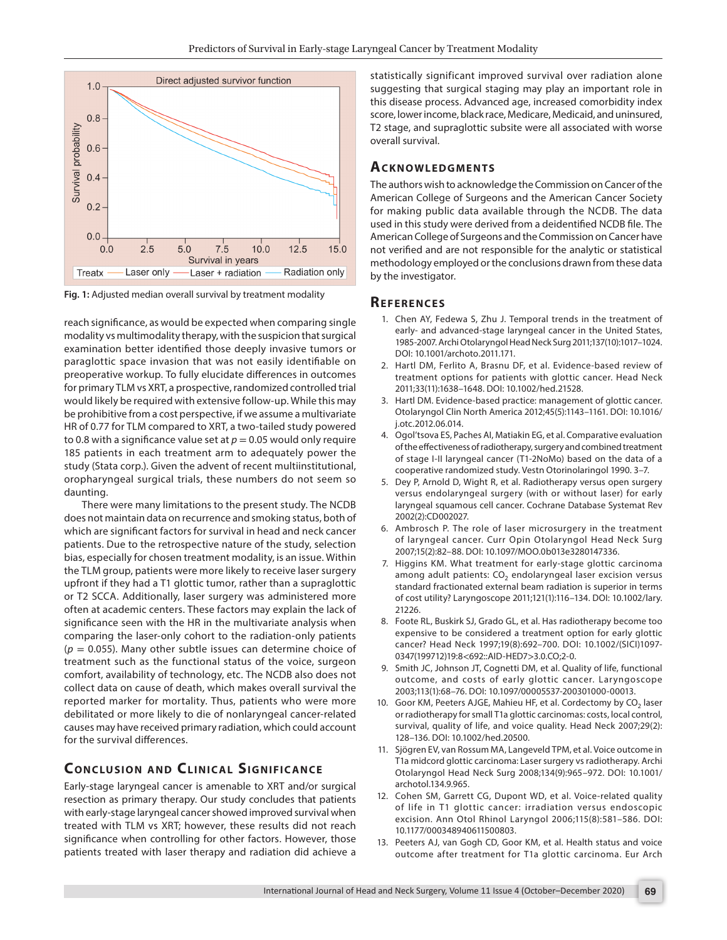

**Fig. 1:** Adjusted median overall survival by treatment modality

reach significance, as would be expected when comparing single modality vs multimodality therapy, with the suspicion that surgical examination better identified those deeply invasive tumors or paraglottic space invasion that was not easily identifiable on preoperative workup. To fully elucidate differences in outcomes for primary TLM vs XRT, a prospective, randomized controlled trial would likely be required with extensive follow-up. While this may be prohibitive from a cost perspective, if we assume a multivariate HR of 0.77 for TLM compared to XRT, a two-tailed study powered to 0.8 with a significance value set at  $p = 0.05$  would only require 185 patients in each treatment arm to adequately power the study (Stata corp.). Given the advent of recent multiinstitutional, oropharyngeal surgical trials, these numbers do not seem so daunting.

There were many limitations to the present study. The NCDB does not maintain data on recurrence and smoking status, both of which are significant factors for survival in head and neck cancer patients. Due to the retrospective nature of the study, selection bias, especially for chosen treatment modality, is an issue. Within the TLM group, patients were more likely to receive laser surgery upfront if they had a T1 glottic tumor, rather than a supraglottic or T2 SCCA. Additionally, laser surgery was administered more often at academic centers. These factors may explain the lack of significance seen with the HR in the multivariate analysis when comparing the laser-only cohort to the radiation-only patients (*p* = 0.055). Many other subtle issues can determine choice of treatment such as the functional status of the voice, surgeon comfort, availability of technology, etc. The NCDB also does not collect data on cause of death, which makes overall survival the reported marker for mortality. Thus, patients who were more debilitated or more likely to die of nonlaryngeal cancer-related causes may have received primary radiation, which could account for the survival differences.

#### **CONCLUSION AND CLINICAL SIGNIFICANCE**

Early-stage laryngeal cancer is amenable to XRT and/or surgical resection as primary therapy. Our study concludes that patients with early-stage laryngeal cancer showed improved survival when treated with TLM vs XRT; however, these results did not reach significance when controlling for other factors. However, those patients treated with laser therapy and radiation did achieve a

statistically significant improved survival over radiation alone suggesting that surgical staging may play an important role in this disease process. Advanced age, increased comorbidity index score, lower income, black race, Medicare, Medicaid, and uninsured, T2 stage, and supraglottic subsite were all associated with worse overall survival.

#### **Ac k n ow l e d gme n ts**

The authors wish to acknowledge the Commission on Cancer of the American College of Surgeons and the American Cancer Society for making public data available through the NCDB. The data used in this study were derived from a deidentified NCDB file. The American College of Surgeons and the Commission on Cancer have not verified and are not responsible for the analytic or statistical methodology employed or the conclusions drawn from these data by the investigator.

#### **REFERENCES**

- 1. Chen AY, Fedewa S, Zhu J. Temporal trends in the treatment of early- and advanced-stage laryngeal cancer in the United States, 1985-2007. Archi Otolaryngol Head Neck Surg 2011;137(10):1017–1024. DOI: 10.1001/archoto.2011.171.
- 2. Hartl DM, Ferlito A, Brasnu DF, et al. Evidence-based review of treatment options for patients with glottic cancer. Head Neck 2011;33(11):1638–1648. DOI: 10.1002/hed.21528.
- 3. Hartl DM. Evidence-based practice: management of glottic cancer. Otolaryngol Clin North America 2012;45(5):1143–1161. DOI: 10.1016/ j.otc.2012.06.014.
- 4. Ogol'tsova ES, Paches AI, Matiakin EG, et al. Comparative evaluation of the effectiveness of radiotherapy, surgery and combined treatment of stage I-II laryngeal cancer (T1-2NoMo) based on the data of a cooperative randomized study. Vestn Otorinolaringol 1990. 3–7.
- 5. Dey P, Arnold D, Wight R, et al. Radiotherapy versus open surgery versus endolaryngeal surgery (with or without laser) for early laryngeal squamous cell cancer. Cochrane Database Systemat Rev 2002(2):CD002027.
- 6. Ambrosch P. The role of laser microsurgery in the treatment of laryngeal cancer. Curr Opin Otolaryngol Head Neck Surg 2007;15(2):82–88. DOI: 10.1097/MOO.0b013e3280147336.
- 7. Higgins KM. What treatment for early-stage glottic carcinoma among adult patients:  $CO<sub>2</sub>$  endolaryngeal laser excision versus standard fractionated external beam radiation is superior in terms of cost utility? Laryngoscope 2011;121(1):116–134. DOI: 10.1002/lary. 21226.
- 8. Foote RL, Buskirk SJ, Grado GL, et al. Has radiotherapy become too expensive to be considered a treatment option for early glottic cancer? Head Neck 1997;19(8):692–700. DOI: 10.1002/(SICI)1097- 0347(199712)19:8<692::AID-HED7>3.0.CO;2-0.
- 9. Smith JC, Johnson JT, Cognetti DM, et al. Quality of life, functional outcome, and costs of early glottic cancer. Laryngoscope 2003;113(1):68–76. DOI: 10.1097/00005537-200301000-00013.
- 10. Goor KM, Peeters AJGE, Mahieu HF, et al. Cordectomy by CO<sub>2</sub> laser or radiotherapy for small T1a glottic carcinomas: costs, local control, survival, quality of life, and voice quality. Head Neck 2007;29(2): 128–136. DOI: 10.1002/hed.20500.
- 11. Sjögren EV, van Rossum MA, Langeveld TPM, et al. Voice outcome in T1a midcord glottic carcinoma: Laser surgery vs radiotherapy. Archi Otolaryngol Head Neck Surg 2008;134(9):965–972. DOI: 10.1001/ archotol.134.9.965.
- 12. Cohen SM, Garrett CG, Dupont WD, et al. Voice-related quality of life in T1 glottic cancer: irradiation versus endoscopic excision. Ann Otol Rhinol Laryngol 2006;115(8):581–586. DOI: 10.1177/000348940611500803.
- 13. Peeters AJ, van Gogh CD, Goor KM, et al. Health status and voice outcome after treatment for T1a glottic carcinoma. Eur Arch